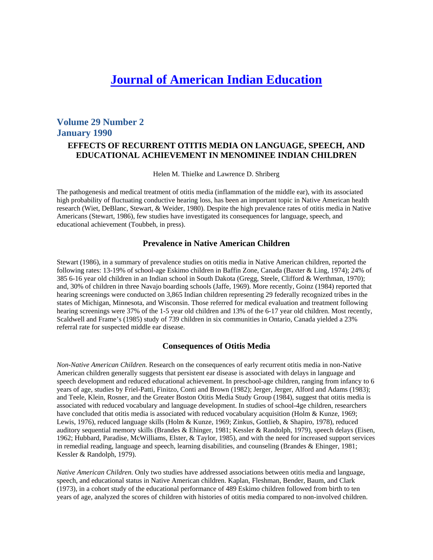# **Journal of American Indian Education**

# **Volume 29 Number 2 January 1990 EFFECTS OF RECURRENT OTITIS MEDIA ON LANGUAGE, SPEECH, AND EDUCATIONAL ACHIEVEMENT IN MENOMINEE INDIAN CHILDREN**

Helen M. Thielke and Lawrence D. Shriberg

The pathogenesis and medical treatment of otitis media (inflammation of the middle ear), with its associated high probability of fluctuating conductive hearing loss, has been an important topic in Native American health research (Wiet, DeBlanc, Stewart, & Weider, 1980). Despite the high prevalence rates of otitis media in Native Americans (Stewart, 1986), few studies have investigated its consequences for language, speech, and educational achievement (Toubbeh, in press).

# **Prevalence in Native American Children**

Stewart (1986), in a summary of prevalence studies on otitis media in Native American children, reported the following rates: 13-19% of school-age Eskimo children in Baffin Zone, Canada (Baxter & Ling, 1974); 24% of 385 6-16 year old children in an Indian school in South Dakota (Gregg, Steele, Clifford & Werthman, 1970); and, 30% of children in three Navajo boarding schools (Jaffe, 1969). More recently, Goinz (1984) reported that hearing screenings were conducted on 3,865 Indian children representing 29 federally recognized tribes in the states of Michigan, Minnesota, and Wisconsin. Those referred for medical evaluation and treatment following hearing screenings were 37% of the 1-5 year old children and 13% of the 6-17 year old children. Most recently, Scaldwell and Frame's (1985) study of 739 children in six communities in Ontario, Canada yielded a 23% referral rate for suspected middle ear disease.

# **Consequences of Otitis Media**

*Non-Native American Children.* Research on the consequences of early recurrent otitis media in non-Native American children generally suggests that persistent ear disease is associated with delays in language and speech development and reduced educational achievement. In preschool-age children, ranging from infancy to 6 years of age, studies by Friel-Patti, Finitzo, Conti and Brown (1982); Jerger, Jerger, Alford and Adams (1983); and Teele, Klein, Rosner, and the Greater Boston Otitis Media Study Group (1984), suggest that otitis media is associated with reduced vocabulary and language development. In studies of school-4ge children, researchers have concluded that otitis media is associated with reduced vocabulary acquisition (Holm & Kunze, 1969; Lewis, 1976), reduced language skills (Holm & Kunze, 1969; Zinkus, Gottlieb, & Shapiro, 1978), reduced auditory sequential memory skills (Brandes & Ehinger, 1981; Kessler & Randolph, 1979), speech delays (Eisen, 1962; Hubbard, Paradise, McWilliams, Elster, & Taylor, 1985), and with the need for increased support services in remedial reading, language and speech, learning disabilities, and counseling (Brandes & Ehinger, 1981; Kessler & Randolph, 1979).

*Native American Children.* Only two studies have addressed associations between otitis media and language, speech, and educational status in Native American children. Kaplan, Fleshman, Bender, Baum, and Clark (1973), in a cohort study of the educational performance of 489 Eskimo children followed from birth to ten years of age, analyzed the scores of children with histories of otitis media compared to non-involved children.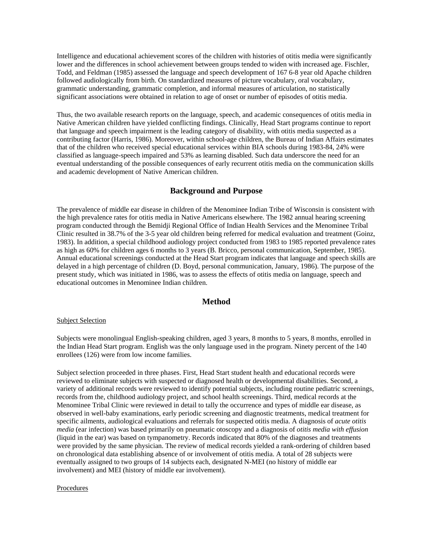Intelligence and educational achievement scores of the children with histories of otitis media were significantly lower and the differences in school achievement between groups tended to widen with increased age. Fischler, Todd, and Feldman (1985) assessed the language and speech development of 167 6-8 year old Apache children followed audiologically from birth. On standardized measures of picture vocabulary, oral vocabulary, grammatic understanding, grammatic completion, and informal measures of articulation, no statistically significant associations were obtained in relation to age of onset or number of episodes of otitis media.

Thus, the two available research reports on the language, speech, and academic consequences of otitis media in Native American children have yielded conflicting findings. Clinically, Head Start programs continue to report that language and speech impairment is the leading category of disability, with otitis media suspected as a contributing factor (Harris, 1986). Moreover, within school-age children, the Bureau of Indian Affairs estimates that of the children who received special educational services within BIA schools during 1983-84, 24% were classified as language-speech impaired and 53% as learning disabled. Such data underscore the need for an eventual understanding of the possible consequences of early recurrent otitis media on the communication skills and academic development of Native American children.

# **Background and Purpose**

The prevalence of middle ear disease in children of the Menominee Indian Tribe of Wisconsin is consistent with the high prevalence rates for otitis media in Native Americans elsewhere. The 1982 annual hearing screening program conducted through the Bemidji Regional Office of Indian Health Services and the Menominee Tribal Clinic resulted in 38.7% of the 3-5 year old children being referred for medical evaluation and treatment (Goinz, 1983). In addition, a special childhood audiology project conducted from 1983 to 1985 reported prevalence rates as high as 60% for children ages 6 months to 3 years (B. Bricco, personal communication, September, 1985). Annual educational screenings conducted at the Head Start program indicates that language and speech skills are delayed in a high percentage of children (D. Boyd, personal communication, January, 1986). The purpose of the present study, which was initiated in 1986, was to assess the effects of otitis media on language, speech and educational outcomes in Menominee Indian children.

## **Method**

#### Subject Selection

Subjects were monolingual English-speaking children, aged 3 years, 8 months to 5 years, 8 months, enrolled in the Indian Head Start program. English was the only language used in the program. Ninety percent of the 140 enrollees (126) were from low income families.

Subject selection proceeded in three phases. First, Head Start student health and educational records were reviewed to eliminate subjects with suspected or diagnosed health or developmental disabilities. Second, a variety of additional records were reviewed to identify potential subjects, including routine pediatric screenings, records from the, childhood audiology project, and school health screenings. Third, medical records at the Menominee Tribal Clinic were reviewed in detail to tally the occurrence and types of middle ear disease, as observed in well-baby examinations, early periodic screening and diagnostic treatments, medical treatment for specific ailments, audiological evaluations and referrals for suspected otitis media. A diagnosis of *acute otitis media* (ear infection) was based primarily on pneumatic otoscopy and a diagnosis of *otitis media with effusion*  (liquid in the ear) was based on tympanometry. Records indicated that 80% of the diagnoses and treatments were provided by the same physician. The review of medical records yielded a rank-ordering of children based on chronological data establishing absence of or involvement of otitis media. A total of 28 subjects were eventually assigned to two groups of 14 subjects each, designated N-MEI (no history of middle ear involvement) and MEI (history of middle ear involvement).

#### Procedures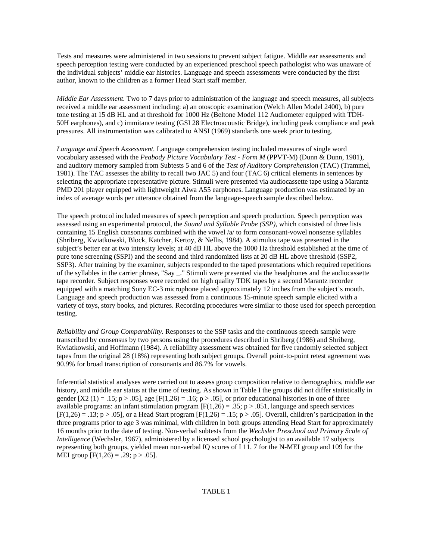Tests and measures were administered in two sessions to prevent subject fatigue. Middle ear assessments and speech perception testing were conducted by an experienced preschool speech pathologist who was unaware of the individual subjects' middle ear histories. Language and speech assessments were conducted by the first author, known to the children as a former Head Start staff member.

*Middle Ear Assessment.* Two to 7 days prior to administration of the language and speech measures, all subjects received a middle ear assessment including: a) an otoscopic examination (Welch Allen Model 2400), b) pure tone testing at 15 dB HL and at threshold for 1000 Hz (Beltone Model 112 Audiometer equipped with TDH-50H earphones), and c) immitance testing (GSI 28 Electroacoustic Bridge), including peak compliance and peak pressures. All instrumentation was calibrated to ANSI (1969) standards one week prior to testing.

*Language and Speech Assessment.* Language comprehension testing included measures of single word vocabulary assessed with the *Peabody Picture Vocabulary Test - Form M* (PPVT-M) (Dunn & Dunn, 1981), and auditory memory sampled from Subtests 5 and 6 of the *Test of Auditory Comprehension* (TAC) (Trammel, 1981). The TAC assesses the ability to recall two JAC 5) and four (TAC 6) critical elements in sentences by selecting the appropriate representative picture. Stimuli were presented via audiocassette tape using a Marantz PMD 201 player equipped with lightweight Aiwa A55 earphones. Language production was estimated by an index of average words per utterance obtained from the language-speech sample described below.

The speech protocol included measures of speech perception and speech production. Speech perception was assessed using an experimental protocol, the *Sound and Syllable Probe (SSP),* which consisted of three lists containing 15 English consonants combined with the vowel  $\alpha$  to form consonant-vowel nonsense syllables (Shriberg, Kwiatkowski, Block, Katcher, Kertoy, & Nellis, 1984). A stimulus tape was presented in the subject's better ear at two intensity levels; at 40 dB HL above the 1000 Hz threshold established at the time of pure tone screening (SSPI) and the second and third randomized lists at 20 dB HL above threshold (SSP2, SSP3). After training by the examiner, subjects responded to the taped presentations which required repetitions of the syllables in the carrier phrase, "Say \_." Stimuli were presented via the headphones and the audiocassette tape recorder. Subject responses were recorded on high quality TDK tapes by a second Marantz recorder equipped with a matching Sony EC-3 microphone placed approximately 12 inches from the subject's mouth. Language and speech production was assessed from a continuous 15-minute speech sample elicited with a variety of toys, story books, and pictures. Recording procedures were similar to those used for speech perception testing.

*Reliability and Group Comparability.* Responses to the SSP tasks and the continuous speech sample were transcribed by consensus by two persons using the procedures described in Shriberg (1986) and Shriberg, Kwiatkowski, and Hoffmann (1984). A reliability assessment was obtained for five randomly selected subject tapes from the original 28 (18%) representing both subject groups. Overall point-to-point retest agreement was 90.9% for broad transcription of consonants and 86.7% for vowels.

Inferential statistical analyses were carried out to assess group composition relative to demographics, middle ear history, and middle ear status at the time of testing. As shown in Table I the groups did not differ statistically in gender  $[X2 (1) = .15; p > .05]$ , age  $[F(1,26) = .16; p > .05]$ , or prior educational histories in one of three available programs: an infant stimulation program  $[F(1,26) = .35; p > .051]$ , language and speech services  $[F(1,26) = .13; p > .05]$ , or a Head Start program  $[F(1,26) = .15; p > .05]$ . Overall, children's participation in the three programs prior to age 3 was minimal, with children in both groups attending Head Start for approximately 16 months prior to the date of testing. Non-verbal subtests from the *Wechsler Preschool and Primary Scale of Intelligence* (Wechsler, 1967), administered by a licensed school psychologist to an available 17 subjects representing both groups, yielded mean non-verbal IQ scores of I 11. 7 for the N-MEI group and 109 for the MEI group  $[F(1,26) = .29; p > .05]$ .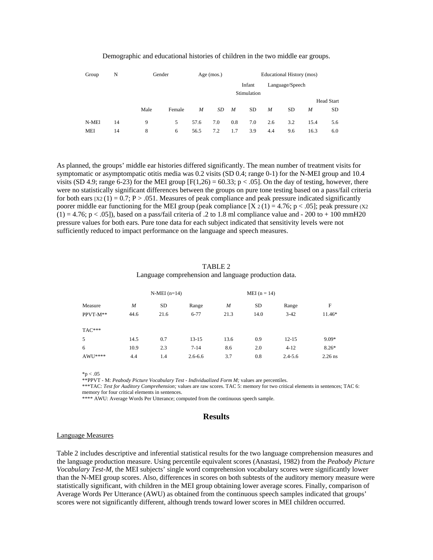| Group | N  | Gender |        | Age $(mos.)$ |     | Educational History (mos) |                       |     |                 |      |                   |
|-------|----|--------|--------|--------------|-----|---------------------------|-----------------------|-----|-----------------|------|-------------------|
|       |    |        |        |              |     |                           | Infant<br>Stimulation |     | Language/Speech |      |                   |
|       |    |        |        |              |     |                           |                       |     |                 |      | <b>Head Start</b> |
|       |    | Male   | Female | M            | SD  | $\boldsymbol{M}$          | SD.                   | M   | <b>SD</b>       | M    | <b>SD</b>         |
| N-MEI | 14 | 9      | 5      | 57.6         | 7.0 | 0.8                       | 7.0                   | 2.6 | 3.2             | 15.4 | 5.6               |
| MEI   | 14 | 8      | 6      | 56.5         | 7.2 | 1.7                       | 3.9                   | 4.4 | 9.6             | 16.3 | 6.0               |

#### Demographic and educational histories of children in the two middle ear groups.

As planned, the groups' middle ear histories differed significantly. The mean number of treatment visits for symptomatic or asymptompatic otitis media was 0.2 visits (SD 0.4; range 0-1) for the N-MEI group and 10.4 visits (SD 4.9; range 6-23) for the MEI group  $[F(1,26) = 60.33; p < .05]$ . On the day of testing, however, there were no statistically significant differences between the groups on pure tone testing based on a pass/fail criteria for both ears  $[X2 (1) = 0.7; P > .051$ . Measures of peak compliance and peak pressure indicated significantly poorer middle ear functioning for the MEI group (peak compliance [X  $2(1) = 4.76$ ; p < .05]; peak pressure (X2)  $(1) = 4.76$ ; p < .05]), based on a pass/fail criteria of .2 to 1.8 ml compliance value and - 200 to + 100 mmH20 pressure values for both ears. Pure tone data for each subject indicated that sensitivity levels were not sufficiently reduced to impact performance on the language and speech measures.

#### TABLE 2 Language comprehension and language production data.

| Measure  |      | $N-MEI(n=14)$ |             |      |           |             |           |
|----------|------|---------------|-------------|------|-----------|-------------|-----------|
|          | M    | SD            | Range       | M    | <b>SD</b> | Range       | F         |
| PPVT-M** | 44.6 | 21.6          | $6 - 77$    | 21.3 | 14.0      | $3 - 42$    | 11.46*    |
| $TAC***$ |      |               |             |      |           |             |           |
| 5        | 14.5 | 0.7           | $13 - 15$   | 13.6 | 0.9       | $12 - 15$   | $9.09*$   |
| 6        | 10.9 | 2.3           | $7 - 14$    | 8.6  | 2.0       | $4-12$      | $8.26*$   |
| AWU****  | 4.4  | 1.4           | $2.6 - 6.6$ | 3.7  | 0.8       | $2.4 - 5.6$ | $2.26$ ns |

 $*<sub>p</sub> < .05$ 

\*\*PPVT - M: *Peabody Picture Vocabulary Test - Individualized Form M;* values are percentiles.

\*\*\*TAC: *Test for Auditory Comprehension;* values are raw scores. TAC 5: memory for two critical elements in sentences; TAC 6: memory for four critical elements in sentences.

\*\*\*\* AWU: Average Words Per Utterance; computed from the continuous speech sample.

#### **Results**

#### Language Measures

Table 2 includes descriptive and inferential statistical results for the two language comprehension measures and the language production measure. Using percentile equivalent scores (Anastasi, 1982) from the *Peabody Picture Vocabulary Test-M,* the MEI subjects' single word comprehension vocabulary scores were significantly lower than the N-MEI group scores. Also, differences in scores on both subtests of the auditory memory measure were statistically significant, with children in the MEI group obtaining lower average scores. Finally, comparison of Average Words Per Utterance (AWU) as obtained from the continuous speech samples indicated that groups' scores were not significantly different, although trends toward lower scores in MEI children occurred.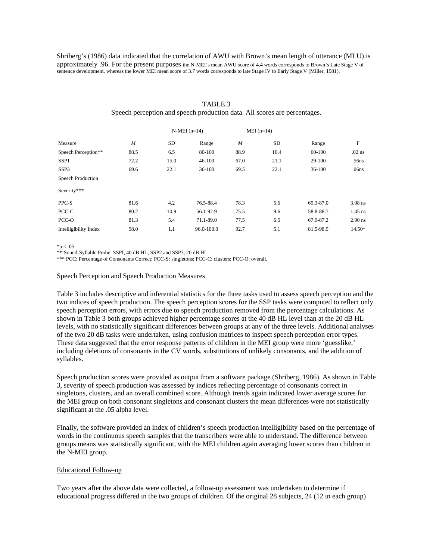Shriberg's (1986) data indicated that the correlation of AWU with Brown's mean length of utterance (MLU) is approximately .96. For the present purposes the N-MEI's mean AWU score of 4.4 words corresponds to Brown's Late Stage V of sentence development, whereas the lower MEI mean score of 3.7 words corresponds to late Stage IV to Early Stage V (Miller, 1981).

# $N-MEI (n=14)$  MEI ( $n=14$ ) Measure *M* SD Range *M* SD Range F Speech Perception\*\* 88.5 6.5 80-100 88.9 10.4 60-100 .02 ns SSP1 72.2 15.0 46-100 67.0 21.1 29-100 56ns SSP3 69.6 22.1 36-100 69.5 22.1 36-100 06ns Speech Production Severity\*\*\* PPC-S 81.6 4.2 76.5-88.4 78.3 5.6 69.3-87.0 3.08 ns PCC-C 80.2 10.9 56.1-92.9 75.5 9.6 58.8-88.7 1.45 ns PCC-O 81.3 5.4 71.1-89.0 77.5 6.5 67.9-87.2 2.90 ns Intelligibility Index 98.0 1.1 96.0-100.0 92.7 5.1 81.5-98.9 14.50\*

## TABLE 3 Speech perception and speech production data. All scores are percentages.

 $*_{p < .05}$ 

\*\*'Sound-Syllable Probe: SSPI, 40 dB HL; SSP2 and SSP3, 20 dB HL.

\*\*\* PCC: Percentage of Consonants Correct; PCC-S: singletons; PCC-C: clusters; PCC-O: overall.

#### Speech Perception and Speech Production Measures

Table 3 includes descriptive and inferential statistics for the three tasks used to assess speech perception and the two indices of speech production. The speech perception scores for the SSP tasks were computed to reflect only speech perception errors, with errors due to speech production removed from the percentage calculations. As shown in Table 3 both groups achieved higher percentage scores at the 40 dB HL level than at the 20 dB HL levels, with no statistically significant differences between groups at any of the three levels. Additional analyses of the two 20 dB tasks were undertaken, using confusion matrices to inspect speech perception error types. These data suggested that the error response patterns of children in the MEI group were more 'guesslike,' including deletions of consonants in the CV words, substitutions of unlikely consonants, and the addition of syllables.

Speech production scores were provided as output from a software package (Shriberg, 1986). As shown in Table 3, severity of speech production was assessed by indices reflecting percentage of consonants correct in singletons, clusters, and an overall combined score. Although trends again indicated lower average scores for the MEI group on both consonant singletons and consonant clusters the mean differences were not statistically significant at the .05 alpha level.

Finally, the software provided an index of children's speech production intelligibility based on the percentage of words in the continuous speech samples that the transcribers were able to understand. The difference between groups means was statistically significant, with the MEI children again averaging lower scores than children in the N-MEI group.

#### Educational Follow-up

Two years after the above data were collected, a follow-up assessment was undertaken to determine if educational progress differed in the two groups of children. Of the original 28 subjects, 24 (12 in each group)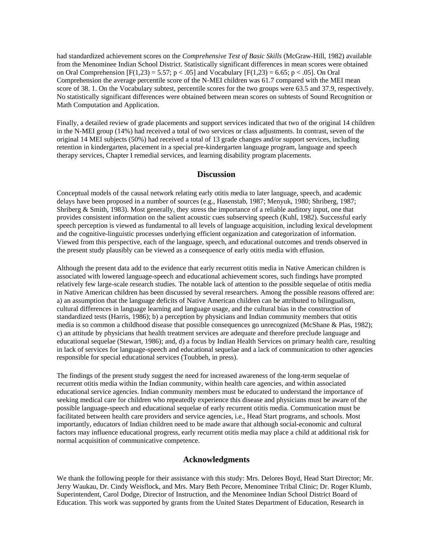had standardized achievement scores on the *Comprehensive Test of Basic Skills* (McGraw-Hill, 1982) available from the Menominee Indian School District. Statistically significant differences in mean scores were obtained on Oral Comprehension  $[F(1,23) = 5.57; p < .05]$  and Vocabulary  $[F(1,23) = 6.65; p < .05]$ . On Oral Comprehension the average percentile score of the N-MEI children was 61.7 compared with the MEI mean score of 38. 1. On the Vocabulary subtest, percentile scores for the two groups were 63.5 and 37.9, respectively. No statistically significant differences were obtained between mean scores on subtests of Sound Recognition or Math Computation and Application.

Finally, a detailed review of grade placements and support services indicated that two of the original 14 children in the N-MEI group (14%) had received a total of two services or class adjustments. In contrast, seven of the original 14 MEI subjects (50%) had received a total of 13 grade changes and/or support services, including retention in kindergarten, placement in a special pre-kindergarten language program, language and speech therapy services, Chapter I remedial services, and learning disability program placements.

## **Discussion**

Conceptual models of the causal network relating early otitis media to later language, speech, and academic delays have been proposed in a number of sources (e.g., Hasenstab, 1987; Menyuk, 1980; Shriberg, 1987; Shriberg & Smith, 1983). Most generally, they stress the importance of a reliable auditory input, one that provides consistent information on the salient acoustic cues subserving speech (Kuhl, 1982). Successful early speech perception is viewed as fundamental to all levels of language acquisition, including lexical development and the cognitive-linguistic processes underlying efficient organization and categorization of information. Viewed from this perspective, each of the language, speech, and educational outcomes and trends observed in the present study plausibly can be viewed as a consequence of early otitis media with effusion.

Although the present data add to the evidence that early recurrent otitis media in Native American children is associated with lowered language-speech and educational achievement scores, such findings have prompted relatively few large-scale research studies. The notable lack of attention to the possible sequelae of otitis media in Native American children has been discussed by several researchers. Among the possible reasons offered are: a) an assumption that the language deficits of Native American children can be attributed to bilingualism, cultural differences in language learning and language usage, and the cultural bias in the construction of standardized tests (Harris, 1986); b) a perception by physicians and Indian community members that otitis media is so common a childhood disease that possible consequences go unrecognized (McShane & Plas, 1982); c) an attitude by physicians that health treatment services are adequate and therefore preclude language and educational sequelae (Stewart, 1986); and, d) a focus by Indian Health Services on primary health care, resulting in lack of services for language-speech and educational sequelae and a lack of communication to other agencies responsible for special educational services (Toubbeh, in press).

The findings of the present study suggest the need for increased awareness of the long-term sequelae of recurrent otitis media within the Indian community, within health care agencies, and within associated educational service agencies. Indian community members must be educated to understand the importance of seeking medical care for children who repeatedly experience this disease and physicians must be aware of the possible language-speech and educational sequelae of early recurrent otitis media. Communication must be facilitated between health care providers and service agencies, i.e., Head Start programs, and schools. Most importantly, educators of Indian children need to be made aware that although social-economic and cultural factors may influence educational progress, early recurrent otitis media may place a child at additional risk for normal acquisition of communicative competence.

## **Acknowledgments**

We thank the following people for their assistance with this study: Mrs. Delores Boyd, Head Start Director; Mr. Jerry Waukau, Dr. Cindy Weisflock, and Mrs. Mary Beth Pecore, Menominee Tribal Clinic; Dr. Roger Klumb, Superintendent, Carol Dodge, Director of Instruction, and the Menominee Indian School District Board of Education. This work was supported by grants from the United States Department of Education, Research in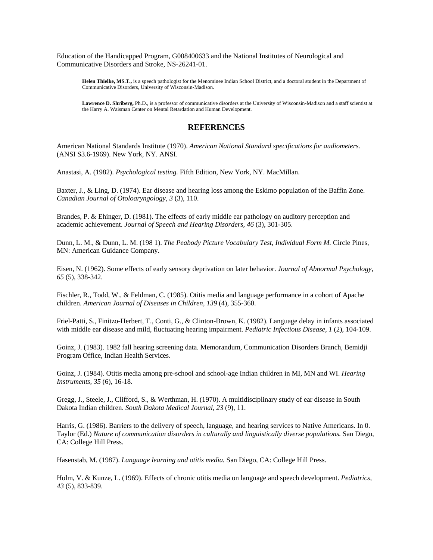Education of the Handicapped Program, G008400633 and the National Institutes of Neurological and Communicative Disorders and Stroke, NS-26241-01.

**Helen Thielke, MS.T.,** is a speech pathologist for the Menominee Indian School District, and a doctoral student in the Department of Communicative Disorders, University of Wisconsin-Madison.

**Lawrence D. Shriberg,** Ph.D., is a professor of communicative disorders at the University of Wisconsin-Madison and a staff scientist at the Harry A. Waisman Center on Mental Retardation and Human Development.

# **REFERENCES**

American National Standards Institute (1970). *American National Standard specifications for audiometers.*  (ANSI S3.6-1969). New York, NY. ANSI.

Anastasi, A. (1982). *Psychological testing.* Fifth Edition, New York, NY. MacMillan.

Baxter, J., & Ling, D. (1974). Ear disease and hearing loss among the Eskimo population of the Baffin Zone. *Canadian Journal of Otoloaryngology, 3* (3), 110.

Brandes, P. & Ehinger, D. (1981). The effects of early middle ear pathology on auditory perception and academic achievement. *Journal of Speech and Hearing Disorders, 46* (3), 301-305.

Dunn, L. M., & Dunn, L. M. (198 1). *The Peabody Picture Vocabulary Test, Individual Form M.* Circle Pines, MN: American Guidance Company.

Eisen, N. (1962). Some effects of early sensory deprivation on later behavior. *Journal of Abnormal Psychology, 65* (5), 338-342.

Fischler, R., Todd, W., & Feldman, C. (1985). Otitis media and language performance in a cohort of Apache children. *American Journal of Diseases in Children, 139* (4), 355-360.

Friel-Patti, S., Finitzo-Herbert, T., Conti, G., & Clinton-Brown, K. (1982). Language delay in infants associated with middle ear disease and mild, fluctuating hearing impairment. *Pediatric Infectious Disease, 1* (2), 104-109.

Goinz, J. (1983). 1982 fall hearing screening data. Memorandum, Communication Disorders Branch, Bemidji Program Office, Indian Health Services.

Goinz, J. (1984). Otitis media among pre-school and school-age Indian children in MI, MN and WI. *Hearing Instruments, 35* (6), 16-18.

Gregg, J., Steele, J., Clifford, S., & Werthman, H. (1970). A multidisciplinary study of ear disease in South Dakota Indian children. *South Dakota Medical Journal, 23* (9), 11.

Harris, G. (1986). Barriers to the delivery of speech, language, and hearing services to Native Americans. In 0. Taylor (Ed.) *Nature of communication disorders in culturally and linguistically diverse populations.* San Diego, CA: College Hill Press.

Hasenstab, M. (1987). *Language learning and otitis media.* San Diego, CA: College Hill Press.

Holm, V. & Kunze, L. (1969). Effects of chronic otitis media on language and speech development. *Pediatrics, 43* (5), 833-839.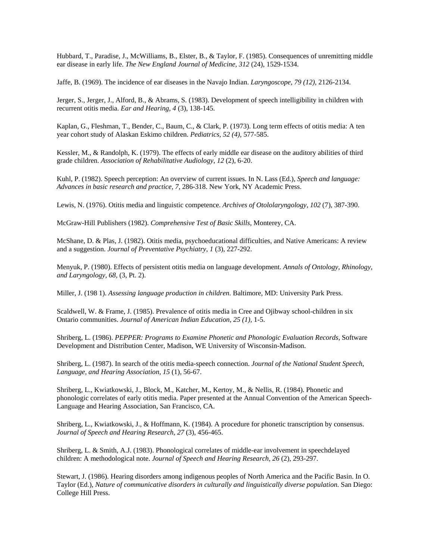Hubbard, T., Paradise, J., McWilliams, B., Elster, B., & Taylor, F. (1985). Consequences of unremitting middle ear disease in early life. *The New England Journal of Medicine, 312* (24), 1529-1534.

Jaffe, B. (1969). The incidence of ear diseases in the Navajo Indian. *Laryngoscope, 79 (12),* 2126-2134.

Jerger, S., Jerger, J., Alford, B., & Abrams, S. (1983). Development of speech intelligibility in children with recurrent otitis media. *Ear and Hearing, 4* (3), 138-145.

Kaplan, G., Fleshman, T., Bender, C., Baum, C., & Clark, P. (1973). Long term effects of otitis media: A ten year cohort study of Alaskan Eskimo children. *Pediatrics, 52 (4),* 577-585.

Kessler, M., & Randolph, K. (1979). The effects of early middle ear disease on the auditory abilities of third grade children. *Association of Rehabilitative Audiology, 12* (2), 6-20.

Kuhl, P. (1982). Speech perception: An overview of current issues. In N. Lass (Ed.), *Speech and language: Advances in basic research and practice, 7,* 286-318. New York, NY Academic Press.

Lewis, N. (1976). Otitis media and linguistic competence. *Archives of Otololaryngology, 102* (7), 387-390.

McGraw-Hill Publishers (1982). *Comprehensive Test of Basic Skills,* Monterey, CA.

McShane, D. & Plas, J. (1982). Otitis media, psychoeducational difficulties, and Native Americans: A review and a suggestion. *Journal of Preventative Psychiatry, 1* (3), 227-292.

Menyuk, P. (1980). Effects of persistent otitis media on language development. *Annals of Ontology, Rhinology, and Laryngology, 68,* (3, Pt. 2).

Miller, J. (198 1). *Assessing language production in children.* Baltimore, MD: University Park Press.

Scaldwell, W. & Frame, J. (1985). Prevalence of otitis media in Cree and Ojibway school-children in six Ontario communities. *Journal of American Indian Education, 25 (1),* 1-5.

Shriberg, L. (1986). *PEPPER: Programs to Examine Phonetic and Phonologic Evaluation Records,* Software Development and Distribution Center, Madison, WE University of Wisconsin-Madison.

Shriberg, L. (1987). In search of the otitis media-speech connection. *Journal of the National Student Speech, Language, and Hearing Association, 15* (1), 56-67.

Shriberg, L., Kwiatkowski, J., Block, M., Katcher, M., Kertoy, M., & Nellis, R. (1984). Phonetic and phonologic correlates of early otitis media. Paper presented at the Annual Convention of the American Speech-Language and Hearing Association, San Francisco, CA.

Shriberg, L., Kwiatkowski, J., & Hoffmann, K. (1984). A procedure for phonetic transcription by consensus. *Journal of Speech and Hearing Research, 27* (3), 456-465.

Shriberg, L. & Smith, A.J. (1983). Phonological correlates of middle-ear involvement in speechdelayed children: A methodological note. *Journal of Speech and Hearing Research, 26* (2), 293-297.

Stewart, J. (1986). Hearing disorders among indigenous peoples of North America and the Pacific Basin. In O. Taylor (Ed.), *Nature of communicative disorders in culturally and linguistically diverse population.* San Diego: College Hill Press.